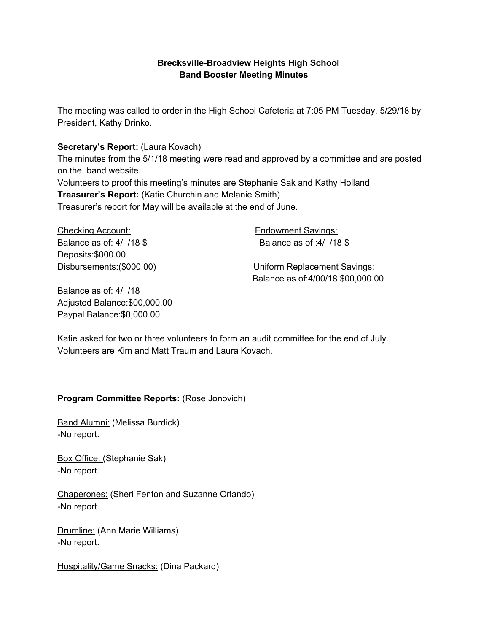# **Brecksville-Broadview Heights High Schoo**l **Band Booster Meeting Minutes**

The meeting was called to order in the High School Cafeteria at 7:05 PM Tuesday, 5/29/18 by President, Kathy Drinko.

### **Secretary's Report:** (Laura Kovach)

The minutes from the 5/1/18 meeting were read and approved by a committee and are posted on the band website.

Volunteers to proof this meeting's minutes are Stephanie Sak and Kathy Holland **Treasurer's Report:** (Katie Churchin and Melanie Smith) Treasurer's report for May will be available at the end of June.

Checking Account: Endowment Savings: Balance as of: 4/ /18 \$ Balance as of :4/ /18 \$ Deposits:\$000.00

Disbursements:(\$000.00) Uniform Replacement Savings: Balance as of:4/00/18 \$00,000.00

Balance as of: 4/ /18 Adjusted Balance:\$00,000.00 Paypal Balance:\$0,000.00

Katie asked for two or three volunteers to form an audit committee for the end of July. Volunteers are Kim and Matt Traum and Laura Kovach.

# **Program Committee Reports:** (Rose Jonovich)

Band Alumni: (Melissa Burdick) -No report.

Box Office: (Stephanie Sak) -No report.

Chaperones: (Sheri Fenton and Suzanne Orlando) -No report.

Drumline: (Ann Marie Williams) -No report.

Hospitality/Game Snacks: (Dina Packard)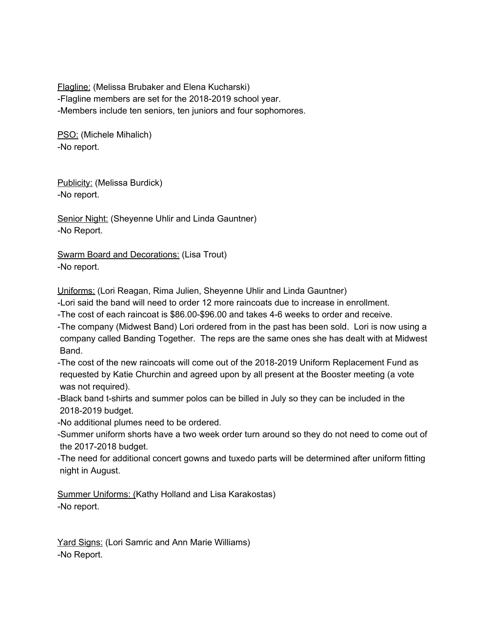Flagline: (Melissa Brubaker and Elena Kucharski) -Flagline members are set for the 2018-2019 school year. -Members include ten seniors, ten juniors and four sophomores.

PSO: (Michele Mihalich) -No report.

Publicity: (Melissa Burdick) -No report.

Senior Night: (Sheyenne Uhlir and Linda Gauntner) -No Report.

Swarm Board and Decorations: (Lisa Trout) -No report.

Uniforms: (Lori Reagan, Rima Julien, Sheyenne Uhlir and Linda Gauntner)

-Lori said the band will need to order 12 more raincoats due to increase in enrollment.

-The cost of each raincoat is \$86.00-\$96.00 and takes 4-6 weeks to order and receive.

-The company (Midwest Band) Lori ordered from in the past has been sold. Lori is now using a company called Banding Together. The reps are the same ones she has dealt with at Midwest Band.

-The cost of the new raincoats will come out of the 2018-2019 Uniform Replacement Fund as requested by Katie Churchin and agreed upon by all present at the Booster meeting (a vote was not required).

-Black band t-shirts and summer polos can be billed in July so they can be included in the 2018-2019 budget.

-No additional plumes need to be ordered.

-Summer uniform shorts have a two week order turn around so they do not need to come out of the 2017-2018 budget.

-The need for additional concert gowns and tuxedo parts will be determined after uniform fitting night in August.

Summer Uniforms: (Kathy Holland and Lisa Karakostas) -No report.

Yard Signs: (Lori Samric and Ann Marie Williams) -No Report.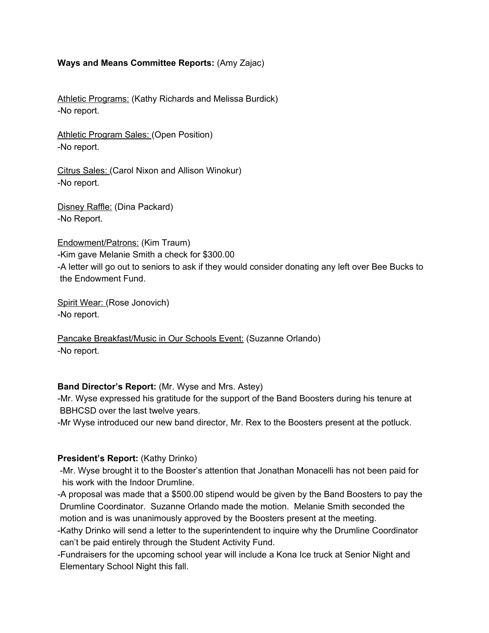### **Ways and Means Committee Reports:** (Amy Zajac)

Athletic Programs: (Kathy Richards and Melissa Burdick) -No report.

Athletic Program Sales: (Open Position) -No report.

Citrus Sales: (Carol Nixon and Allison Winokur) -No report.

Disney Raffle: (Dina Packard) -No Report.

Endowment/Patrons: (Kim Traum) -Kim gave Melanie Smith a check for \$300.00 -A letter will go out to seniors to ask if they would consider donating any left over Bee Bucks to the Endowment Fund.

Spirit Wear: (Rose Jonovich) -No report.

Pancake Breakfast/Music in Our Schools Event: (Suzanne Orlando) -No report.

#### **Band Director's Report:** (Mr. Wyse and Mrs. Astey)

-Mr. Wyse expressed his gratitude for the support of the Band Boosters during his tenure at BBHCSD over the last twelve years.

-Mr Wyse introduced our new band director, Mr. Rex to the Boosters present at the potluck.

# **President's Report:** (Kathy Drinko)

-Mr. Wyse brought it to the Booster's attention that Jonathan Monacelli has not been paid for his work with the Indoor Drumline.

-A proposal was made that a \$500.00 stipend would be given by the Band Boosters to pay the Drumline Coordinator. Suzanne Orlando made the motion. Melanie Smith seconded the motion and is was unanimously approved by the Boosters present at the meeting.

-Kathy Drinko will send a letter to the superintendent to inquire why the Drumline Coordinator can't be paid entirely through the Student Activity Fund.

-Fundraisers for the upcoming school year will include a Kona Ice truck at Senior Night and Elementary School Night this fall.